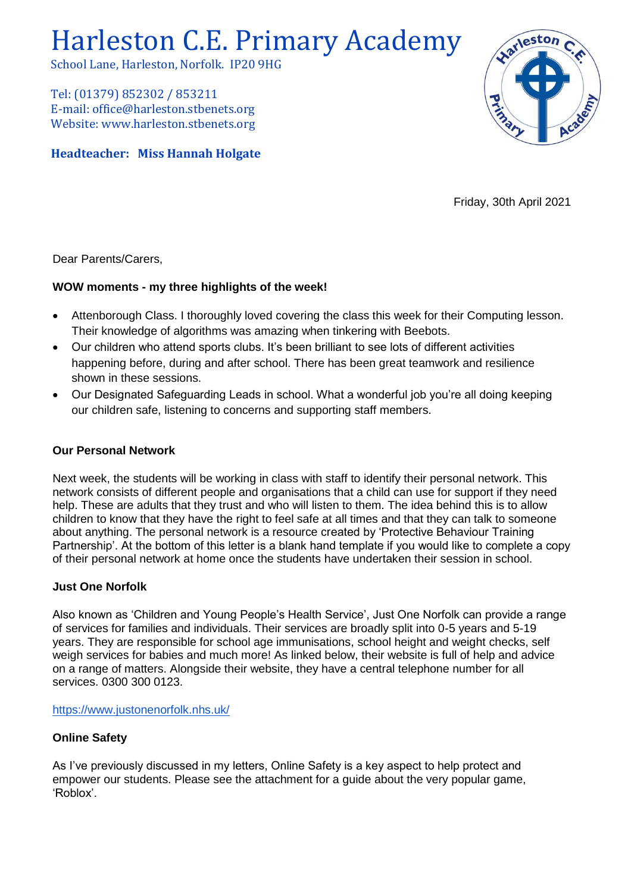# Harleston C.E. Primary Academy

School Lane, Harleston, Norfolk. IP20 9HG

Tel: (01379) 852302 / 853211 E-mail: office@harleston.stbenets.org Website: www.harleston.stbenets.org

## **Headteacher: Miss Hannah Holgate**



Friday, 30th April 2021

Dear Parents/Carers,

#### **WOW moments - my three highlights of the week!**

- Attenborough Class. I thoroughly loved covering the class this week for their Computing lesson. Their knowledge of algorithms was amazing when tinkering with Beebots.
- Our children who attend sports clubs. It's been brilliant to see lots of different activities happening before, during and after school. There has been great teamwork and resilience shown in these sessions.
- Our Designated Safeguarding Leads in school. What a wonderful job you're all doing keeping our children safe, listening to concerns and supporting staff members.

#### **Our Personal Network**

Next week, the students will be working in class with staff to identify their personal network. This network consists of different people and organisations that a child can use for support if they need help. These are adults that they trust and who will listen to them. The idea behind this is to allow children to know that they have the right to feel safe at all times and that they can talk to someone about anything. The personal network is a resource created by 'Protective Behaviour Training Partnership'. At the bottom of this letter is a blank hand template if you would like to complete a copy of their personal network at home once the students have undertaken their session in school.

#### **Just One Norfolk**

Also known as 'Children and Young People's Health Service', Just One Norfolk can provide a range of services for families and individuals. Their services are broadly split into 0-5 years and 5-19 years. They are responsible for school age immunisations, school height and weight checks, self weigh services for babies and much more! As linked below, their website is full of help and advice on a range of matters. Alongside their website, they have a central telephone number for all services. 0300 300 0123.

<https://www.justonenorfolk.nhs.uk/>

#### **Online Safety**

As I've previously discussed in my letters, Online Safety is a key aspect to help protect and empower our students. Please see the attachment for a guide about the very popular game, 'Roblox'.